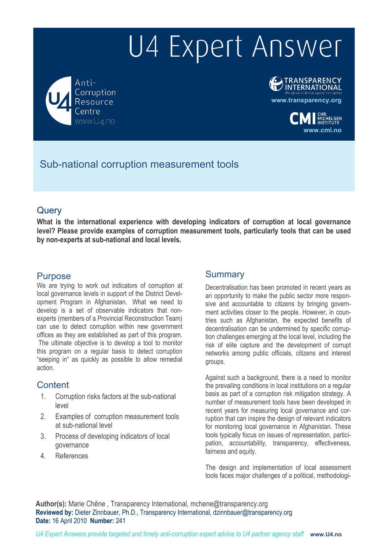# U4 Expert Answer

Anti-Corruption Resource www.Uz.no



**[www.transparency.org](http://www.transparency.org/)**

**[www.cmi.no](http://www.cmi.no/)**

# Sub-national corruption measurement tools

### **Query**

**What is the international experience with developing indicators of corruption at local governance level? Please provide examples of corruption measurement tools, particularly tools that can be used by non-experts at sub-national and local levels.** 

### Purpose

We are trying to work out indicators of corruption at local governance levels in support of the District Development Program in Afghanistan. What we need to develop is a set of observable indicators that nonexperts (members of a Provincial Reconstruction Team) can use to detect corruption within new government offices as they are established as part of this program. The ultimate objective is to develop a tool to monitor this program on a regular basis to detect corruption "seeping in" as quickly as possible to allow remedial action.

### **Content**

- 1. Corruption risks factors at the sub-national level
- 2. Examples of corruption measurement tools at sub-national level
- 3. Process of developing indicators of local governance
- 4. References

### **Summary**

Decentralisation has been promoted in recent years as an opportunity to make the public sector more responsive and accountable to citizens by bringing government activities closer to the people. However, in countries such as Afghanistan, the expected benefits of decentralisation can be undermined by specific corruption challenges emerging at the local level, including the risk of elite capture and the development of corrupt networks among public officials, citizens and interest groups.

Against such a background, there is a need to monitor the prevailing conditions in local institutions on a regular basis as part of a corruption risk mitigation strategy. A number of measurement tools have been developed in recent years for measuring local governance and corruption that can inspire the design of relevant indicators for monitoring local governance in Afghanistan. These tools typically focus on issues of representation, participation, accountability, transparency, effectiveness, fairness and equity.

The design and implementation of local assessment tools faces major challenges of a political, methodologi-

**Author(s):** Marie Chêne , Transparency International, mchen[e@transparency.org](mailto:mchene@transparency.org%20?subject=U4%20Expert%20Answer) **Reviewed by:** Dieter Zinnbauer, Ph.D., Transparency International, [dzinnbauer@transparency.org](mailto:rhodess@transparency.org%20?subject=U4%20Expert%20Answer) **Date:** 16 April 2010 **Number:** 241

*U4 Expert Answers provide targeted and timely anti-corruption expert advice to U4 partner agency staff* **[www.U4.no](http://www.u4.no/)**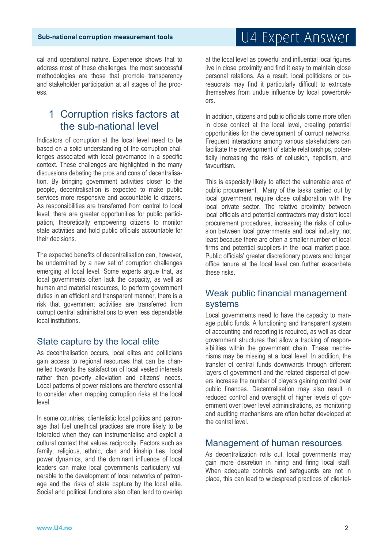cal and operational nature. Experience shows that to address most of these challenges, the most successful methodologies are those that promote transparency and stakeholder participation at all stages of the process.

## 1 Corruption risks factors at the sub-national level

Indicators of corruption at the local level need to be based on a solid understanding of the corruption challenges associated with local governance in a specific context. These challenges are highlighted in the many discussions debating the pros and cons of decentralisation. By bringing government activities closer to the people, decentralisation is expected to make public services more responsive and accountable to citizens. As responsibilities are transferred from central to local level, there are greater opportunities for public participation, theoretically empowering citizens to monitor state activities and hold public officials accountable for their decisions.

The expected benefits of decentralisation can, however, be undermined by a new set of corruption challenges emerging at local level. Some experts argue that, as local governments often lack the capacity, as well as human and material resources, to perform government duties in an efficient and transparent manner, there is a risk that government activities are transferred from corrupt central administrations to even less dependable local institutions.

### State capture by the local elite

As decentralisation occurs, local elites and politicians gain access to regional resources that can be channelled towards the satisfaction of local vested interests rather than poverty alleviation and citizens' needs. Local patterns of power relations are therefore essential to consider when mapping corruption risks at the local level.

In some countries, clientelistic local politics and patronage that fuel unethical practices are more likely to be tolerated when they can instrumentalise and exploit a cultural context that values reciprocity. Factors such as family, religious, ethnic, clan and kinship ties, local power dynamics, and the dominant influence of local leaders can make local governments particularly vulnerable to the development of local networks of patronage and the risks of state capture by the local elite. Social and political functions also often tend to overlap

# U4 Expert Answer

at the local level as powerful and influential local figures live in close proximity and find it easy to maintain close personal relations. As a result, local politicians or bureaucrats may find it particularly difficult to extricate themselves from undue influence by local powerbrokers.

In addition, citizens and public officials come more often in close contact at the local level, creating potential opportunities for the development of corrupt networks. Frequent interactions among various stakeholders can facilitate the development of stable relationships, potentially increasing the risks of collusion, nepotism, and favouritism.

This is especially likely to affect the vulnerable area of public procurement. Many of the tasks carried out by local government require close collaboration with the local private sector. The relative proximity between local officials and potential contractors may distort local procurement procedures, increasing the risks of collusion between local governments and local industry, not least because there are often a smaller number of local firms and potential suppliers in the local market place. Public officials' greater discretionary powers and longer office tenure at the local level can further exacerbate these risks.

### Weak public financial management systems

Local governments need to have the capacity to manage public funds. A functioning and transparent system of accounting and reporting is required, as well as clear government structures that allow a tracking of responsibilities within the government chain. These mechanisms may be missing at a local level. In addition, the transfer of central funds downwards through different layers of government and the related dispersal of powers increase the number of players gaining control over public finances. Decentralisation may also result in reduced control and oversight of higher levels of government over lower level administrations, as monitoring and auditing mechanisms are often better developed at the central level.

### Management of human resources

As decentralization rolls out, local governments may gain more discretion in hiring and firing local staff. When adequate controls and safeguards are not in place, this can lead to widespread practices of clientel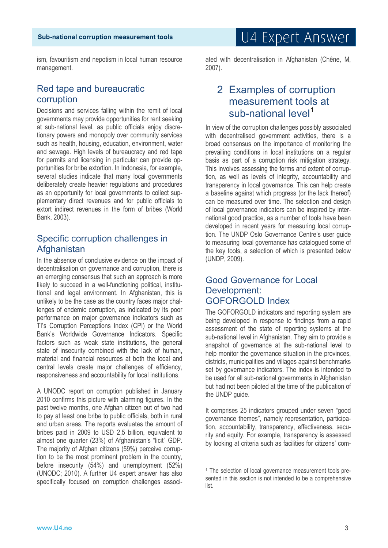ism, favouritism and nepotism in local human resource management.

### Red tape and bureaucratic corruption

Decisions and services falling within the remit of local governments may provide opportunities for rent seeking at sub-national level, as public officials enjoy discretionary powers and monopoly over community services such as health, housing, education, environment, water and sewage. High levels of bureaucracy and red tape for permits and licensing in particular can provide opportunities for bribe extortion. In Indonesia, for example, several studies indicate that many local governments deliberately create heavier regulations and procedures as an opportunity for local governments to collect supplementary direct revenues and for public officials to extort indirect revenues in the form of bribes (World Bank, 2003).

### Specific corruption challenges in Afghanistan

In the absence of conclusive evidence on the impact of decentralisation on governance and corruption, there is an emerging consensus that such an approach is more likely to succeed in a well-functioning political, institutional and legal environment. In Afghanistan, this is unlikely to be the case as the country faces major challenges of endemic corruption, as indicated by its poor performance on major governance indicators such as TI's Corruption Perceptions Index (CPI) or the World Bank's Worldwide Governance Indicators. Specific factors such as weak state institutions, the general state of insecurity combined with the lack of human, material and financial resources at both the local and central levels create major challenges of efficiency, responsiveness and accountability for local institutions.

<span id="page-2-0"></span>A UNODC report on corruption published in January 2010 confirms this picture with alarming figures. In the past twelve months, one Afghan citizen out of two had to pay at least one bribe to public officials, both in rural and urban areas. The reports evaluates the amount of bribes paid in 2009 to USD 2,5 billion, equivalent to almost one quarter (23%) of Afghanistan's "licit" GDP. The majority of Afghan citizens (59%) perceive corruption to be the most prominent problem in the country, before insecurity (54%) and unemployment (52%) (UNODC; 2010). A further U4 expert answer has also specifically focused on corruption challenges associated with decentralisation in Afghanistan (Chêne, M, 2007).

### 2 Examples of corruption measurement tools at sub-national level<sup>[1](#page-2-0)</sup>

In view of the corruption challenges possibly associated with decentralised government activities, there is a broad consensus on the importance of monitoring the prevailing conditions in local institutions on a regular basis as part of a corruption risk mitigation strategy. This involves assessing the forms and extent of corruption, as well as levels of integrity, accountability and transparency in local governance. This can help create a baseline against which progress (or the lack thereof) can be measured over time. The selection and design of local governance indicators can be inspired by international good practice, as a number of tools have been developed in recent years for measuring local corruption. The UNDP Oslo Governance Centre's user guide to measuring local governance has catalogued some of the key tools, a selection of which is presented below (UNDP, 2009).

### Good Governance for Local Development: GOFORGOLD Index

The GOFORGOLD indicators and reporting system are being developed in response to findings from a rapid assessment of the state of reporting systems at the sub-national level in Afghanistan. They aim to provide a snapshot of governance at the sub-national level to help monitor the governance situation in the provinces, districts, municipalities and villages against benchmarks set by governance indicators. The index is intended to be used for all sub-national governments in Afghanistan but had not been piloted at the time of the publication of the UNDP guide.

It comprises 25 indicators grouped under seven "good governance themes", namely representation, participation, accountability, transparency, effectiveness, security and equity. For example, transparency is assessed by looking at criteria such as facilities for citizens' com-

1

# U4 Expert Answer

<sup>&</sup>lt;sup>1</sup> The selection of local governance measurement tools presented in this section is not intended to be a comprehensive list.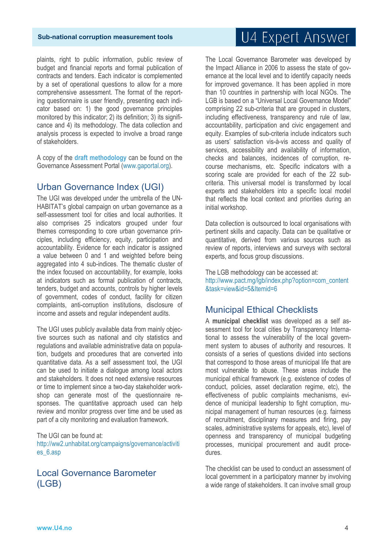plaints, right to public information, public review of budget and financial reports and formal publication of contracts and tenders. Each indicator is complemented by a set of operational questions to allow for a more comprehensive assessment. The format of the reporting questionnaire is user friendly, presenting each indicator based on: 1) the good governance principles monitored by this indicator; 2) its definition; 3) its significance and 4) its methodology. The data collection and analysis process is expected to involve a broad range of stakeholders.

A copy of the **[draft methodology](http://gaportal.org/tools/good-governance-local-development-%E2%80%93-goforgold-index)** can be found on the Governance Assessment Portal [\(www.gaportal.org\)](http://www.gaportal.org/).

### Urban Governance Index (UGI)

The UGI was developed under the umbrella of the UN-HABITAT's global campaign on urban governance as a self-assessment tool for cities and local authorities. It also comprises 25 indicators grouped under four themes corresponding to core urban governance principles, including efficiency, equity, participation and accountability. Evidence for each indicator is assigned a value between 0 and 1 and weighted before being aggregated into 4 sub-indices. The thematic cluster of the index focused on accountability, for example, looks at indicators such as formal publication of contracts, tenders, budget and accounts, controls by higher levels of government, codes of conduct, facility for citizen complaints, anti-corruption institutions, disclosure of income and assets and regular independent audits.

The UGI uses publicly available data from mainly objective sources such as national and city statistics and regulations and available administrative data on population, budgets and procedures that are converted into quantitative data. As a self assessment tool, the UGI can be used to initiate a dialogue among local actors and stakeholders. It does not need extensive resources or time to implement since a two-day stakeholder workshop can generate most of the questionnaire responses. The quantitative approach used can help review and monitor progress over time and be used as part of a city monitoring and evaluation framework.

The UGI can be found at:

[http://ww2.unhabitat.org/campaigns/governance/activiti](http://ww2.unhabitat.org/campaigns/governance/activities_6.asp) [es\\_6.asp](http://ww2.unhabitat.org/campaigns/governance/activities_6.asp)

### Local Governance Barometer (LGB)

# U4 Expert Answer

The Local Governance Barometer was developed by the Impact Alliance in 2006 to assess the state of governance at the local level and to identify capacity needs for improved governance. It has been applied in more than 10 countries in partnership with local NGOs. The LGB is based on a "Universal Local Governance Model" comprising 22 sub-criteria that are grouped in clusters, including effectiveness, transparency and rule of law, accountability, participation and civic engagement and equity. Examples of sub-criteria include indicators such as users' satisfaction vis-à-vis access and quality of services, accessibility and availability of information, checks and balances, incidences of corruption, recourse mechanisms, etc. Specific indicators with a scoring scale are provided for each of the 22 subcriteria. This universal model is transformed by local experts and stakeholders into a specific local model that reflects the local context and priorities during an initial workshop.

Data collection is outsourced to local organisations with pertinent skills and capacity. Data can be qualitative or quantitative, derived from various sources such as review of reports, interviews and surveys with sectoral experts, and focus group discussions.

The LGB methodology can be accessed at: [http://www.pact.mg/lgb/index.php?option=com\\_content](http://www.pact.mg/lgb/index.php?option=com_content&task=view&id=5&Itemid=6) [&task=view&id=5&Itemid=6](http://www.pact.mg/lgb/index.php?option=com_content&task=view&id=5&Itemid=6)

### Municipal Ethical Checklists

A **municipal checklist** was developed as a self assessment tool for local cities by Transparency International to assess the vulnerability of the local government system to abuses of authority and resources. It consists of a series of questions divided into sections that correspond to those areas of municipal life that are most vulnerable to abuse. These areas include the municipal ethical framework (e.g. existence of codes of conduct, policies, asset declaration regime, etc), the effectiveness of public complaints mechanisms, evidence of municipal leadership to fight corruption, municipal management of human resources (e.g. fairness of recruitment, disciplinary measures and firing, pay scales, administrative systems for appeals, etc), level of openness and transparency of municipal budgeting processes, municipal procurement and audit procedures.

The checklist can be used to conduct an assessment of local government in a participatory manner by involving a wide range of stakeholders. It can involve small group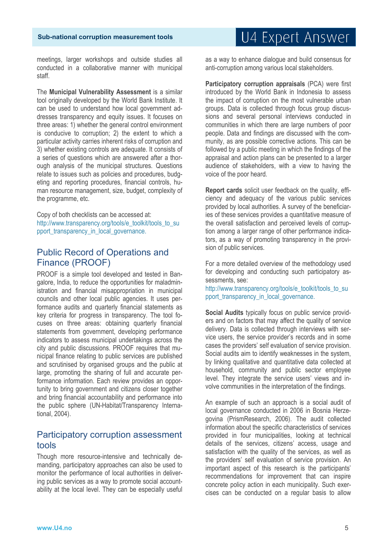meetings, larger workshops and outside studies all conducted in a collaborative manner with municipal staff.

The **Municipal Vulnerability Assessment** is a similar tool originally developed by the World Bank Institute. It can be used to understand how local government addresses transparency and equity issues. It focuses on three areas: 1) whether the general control environment is conducive to corruption; 2) the extent to which a particular activity carries inherent risks of corruption and 3) whether existing controls are adequate. It consists of a series of questions which are answered after a thorough analysis of the municipal structures. Questions relate to issues such as policies and procedures, budgeting and reporting procedures, financial controls, human resource management, size, budget, complexity of the programme, etc.

Copy of both checklists can be accessed at: [http://www.transparency.org/tools/e\\_toolkit/tools\\_to\\_su](http://www.transparency.org/tools/e_toolkit/tools_to_support_transparency_in_local_governance) [pport\\_transparency\\_in\\_local\\_governance.](http://www.transparency.org/tools/e_toolkit/tools_to_support_transparency_in_local_governance)

### Public Record of Operations and Finance (PROOF)

PROOF is a simple tool developed and tested in Bangalore, India, to reduce the opportunities for maladministration and financial misappropriation in municipal councils and other local public agencies. It uses performance audits and quarterly financial statements as key criteria for progress in transparency. The tool focuses on three areas: obtaining quarterly financial statements from government, developing performance indicators to assess municipal undertakings across the city and public discussions. PROOF requires that municipal finance relating to public services are published and scrutinised by organised groups and the public at large, promoting the sharing of full and accurate performance information. Each review provides an opportunity to bring government and citizens closer together and bring financial accountability and performance into the public sphere (UN-Habitat/Transparency International, 2004).

### Participatory corruption assessment tools

Though more resource-intensive and technically demanding, participatory approaches can also be used to monitor the performance of local authorities in delivering public services as a way to promote social accountability at the local level. They can be especially useful

# U4 Expert Answer

as a way to enhance dialogue and build consensus for anti-corruption among various local stakeholders.

**Participatory corruption appraisals** (PCA) were first introduced by the World Bank in Indonesia to assess the impact of corruption on the most vulnerable urban groups. Data is collected through focus group discussions and several personal interviews conducted in communities in which there are large numbers of poor people. Data and findings are discussed with the community, as are possible corrective actions. This can be followed by a public meeting in which the findings of the appraisal and action plans can be presented to a larger audience of stakeholders, with a view to having the voice of the poor heard.

**Report cards** solicit user feedback on the quality, efficiency and adequacy of the various public services provided by local authorities. A survey of the beneficiaries of these services provides a quantitative measure of the overall satisfaction and perceived levels of corruption among a larger range of other performance indicators, as a way of promoting transparency in the provision of public services.

For a more detailed overview of the methodology used for developing and conducting such participatory assessments, see:

[http://www.transparency.org/tools/e\\_toolkit/tools\\_to\\_su](http://www.transparency.org/tools/e_toolkit/tools_to_support_transparency_in_local_governance) [pport\\_transparency\\_in\\_local\\_governance.](http://www.transparency.org/tools/e_toolkit/tools_to_support_transparency_in_local_governance)

**Social Audits** typically focus on public service providers and on factors that may affect the quality of service delivery. Data is collected through interviews with service users, the service provider's records and in some cases the providers' self evaluation of service provision. Social audits aim to identify weaknesses in the system, by linking qualitative and quantitative data collected at household, community and public sector employee level. They integrate the service users' views and involve communities in the interpretation of the findings.

An example of such an approach is a social audit of local governance conducted in 2006 in Bosnia Herzegovina (PrismResearch, 2006). The audit collected information about the specific characteristics of services provided in four municipalities, looking at technical details of the services, citizens' access, usage and satisfaction with the quality of the services, as well as the providers' self evaluation of service provision. An important aspect of this research is the participants' recommendations for improvement that can inspire concrete policy action in each municipality. Such exercises can be conducted on a regular basis to allow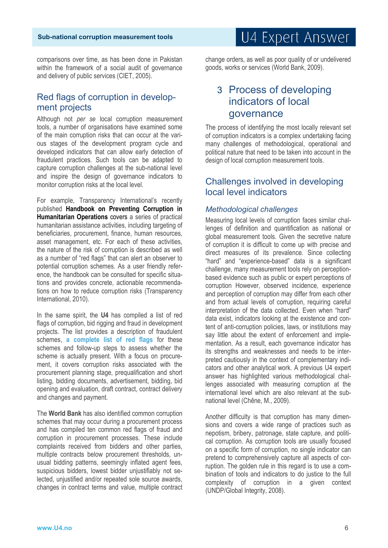# U4 Expert Answer

comparisons over time, as has been done in Pakistan within the framework of a social audit of governance and delivery of public services (CIET, 2005).

### Red flags of corruption in development projects

Although not *per se* local corruption measurement tools, a number of organisations have examined some of the main corruption risks that can occur at the various stages of the development program cycle and developed indicators that can allow early detection of fraudulent practices. Such tools can be adapted to capture corruption challenges at the sub-national level and inspire the design of governance indicators to monitor corruption risks at the local level.

For example, Transparency International's recently published **[Handbook on Preventing Corruption in](http://www.transparency.org/content/download/49759/795776/Humanitarian_Handbook_cd_version.pdf)  [Humanitarian Operations](http://www.transparency.org/content/download/49759/795776/Humanitarian_Handbook_cd_version.pdf)** covers a series of practical humanitarian assistance activities, including targeting of beneficiaries, procurement, finance, human resources, asset management, etc. For each of these activities, the nature of the risk of corruption is described as well as a number of "red flags" that can alert an observer to potential corruption schemes. As a user friendly reference, the handbook can be consulted for specific situations and provides concrete, actionable recommendations on how to reduce corruption risks (Transparency International, 2010).

In the same spirit, the **U4** has compiled a list of red flags of corruption, bid rigging and fraud in development projects. The list provides a description of fraudulent schemes, **[a complete list of red flags](http://www.u4.no/themes/corruption-aid/red-flag-tool/AAA%20Start.cfm)** for these schemes and follow-up steps to assess whether the scheme is actually present. With a focus on procurement, it covers corruption risks associated with the procurement planning stage, prequalification and short listing, bidding documents, advertisement, bidding, bid opening and evaluation, draft contract, contract delivery and changes and payment.

The **World Bank** has also identified common corruption schemes that may occur during a procurement process and has compiled ten common red flags of fraud and corruption in procurement processes. These include complaints received from bidders and other parties, multiple contracts below procurement thresholds, unusual bidding patterns, seemingly inflated agent fees, suspicious bidders, lowest bidder unjustifiably not selected, unjustified and/or repeated sole source awards, changes in contract terms and value, multiple contract change orders, as well as poor quality of or undelivered goods, works or services (World Bank, 2009).

### 3 Process of developing indicators of local governance

The process of identifying the most locally relevant set of corruption indicators is a complex undertaking facing many challenges of methodological, operational and political nature that need to be taken into account in the design of local corruption measurement tools.

### Challenges involved in developing local level indicators

#### *Methodological challenges*

Measuring local levels of corruption faces similar challenges of definition and quantification as national or global measurement tools. Given the secretive nature of corruption it is difficult to come up with precise and direct measures of its prevalence. Since collecting "hard" and "experience-based" data is a significant challenge, many measurement tools rely on perceptionbased evidence such as public or expert perceptions of corruption However, observed incidence, experience and perception of corruption may differ from each other and from actual levels of corruption, requiring careful interpretation of the data collected. Even when "hard" data exist, indicators looking at the existence and content of anti-corruption policies, laws, or institutions may say little about the extent of enforcement and implementation. As a result, each governance indicator has its strengths and weaknesses and needs to be interpreted cautiously in the context of complementary indicators and other analytical work. A previous U4 expert answer has highlighted various methodological challenges associated with measuring corruption at the international level which are also relevant at the subnational level (Chêne, M., 2009).

Another difficulty is that corruption has many dimensions and covers a wide range of practices such as nepotism, bribery, patronage, state capture, and political corruption. As corruption tools are usually focused on a specific form of corruption, no single indicator can pretend to comprehensively capture all aspects of corruption. The golden rule in this regard is to use a combination of tools and indicators to do justice to the full complexity of corruption in a given context (UNDP/Global Integrity, 2008).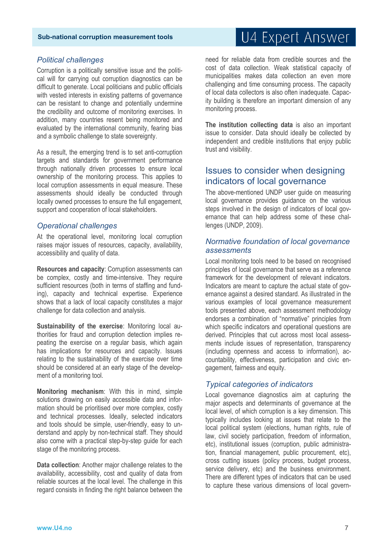#### *Political challenges*

Corruption is a politically sensitive issue and the political will for carrying out corruption diagnostics can be difficult to generate. Local politicians and public officials with vested interests in existing patterns of governance can be resistant to change and potentially undermine the credibility and outcome of monitoring exercises. In addition, many countries resent being monitored and evaluated by the international community, fearing bias and a symbolic challenge to state sovereignty.

As a result, the emerging trend is to set anti-corruption targets and standards for government performance through nationally driven processes to ensure local ownership of the monitoring process. This applies to local corruption assessments in equal measure. These assessments should ideally be conducted through locally owned processes to ensure the full engagement, support and cooperation of local stakeholders.

#### *Operational challenges*

At the operational level, monitoring local corruption raises major issues of resources, capacity, availability, accessibility and quality of data.

**Resources and capacity**: Corruption assessments can be complex, costly and time-intensive. They require sufficient resources (both in terms of staffing and funding), capacity and technical expertise. Experience shows that a lack of local capacity constitutes a major challenge for data collection and analysis.

**Sustainability of the exercise**: Monitoring local authorities for fraud and corruption detection implies repeating the exercise on a regular basis, which again has implications for resources and capacity. Issues relating to the sustainability of the exercise over time should be considered at an early stage of the development of a monitoring tool.

**Monitoring mechanism**: With this in mind, simple solutions drawing on easily accessible data and information should be prioritised over more complex, costly and technical processes. Ideally, selected indicators and tools should be simple, user-friendly, easy to understand and apply by non-technical staff. They should also come with a practical step-by-step guide for each stage of the monitoring process.

**Data collection**: Another major challenge relates to the availability, accessibility, cost and quality of data from reliable sources at the local level. The challenge in this regard consists in finding the right balance between the

# U4 Expert Answer

need for reliable data from credible sources and the cost of data collection. Weak statistical capacity of municipalities makes data collection an even more challenging and time consuming process. The capacity of local data collectors is also often inadequate. Capacity building is therefore an important dimension of any monitoring process.

**The institution collecting data** is also an important issue to consider. Data should ideally be collected by independent and credible institutions that enjoy public trust and visibility.

### Issues to consider when designing indicators of local governance

The above-mentioned UNDP user guide on measuring local governance provides guidance on the various steps involved in the design of indicators of local governance that can help address some of these challenges (UNDP, 2009).

### *Normative foundation of local governance assessments*

Local monitoring tools need to be based on recognised principles of local governance that serve as a reference framework for the development of relevant indicators. Indicators are meant to capture the actual state of governance against a desired standard. As illustrated in the various examples of local governance measurement tools presented above, each assessment methodology endorses a combination of "normative" principles from which specific indicators and operational questions are derived. Principles that cut across most local assessments include issues of representation, transparency (including openness and access to information), accountability, effectiveness, participation and civic engagement, fairness and equity.

#### *Typical categories of indicators*

Local governance diagnostics aim at capturing the major aspects and determinants of governance at the local level, of which corruption is a key dimension. This typically includes looking at issues that relate to the local political system (elections, human rights, rule of law, civil society participation, freedom of information, etc), institutional issues (corruption, public administration, financial management, public procurement, etc), cross cutting issues (policy process, budget process, service delivery, etc) and the business environment. There are different types of indicators that can be used to capture these various dimensions of local govern-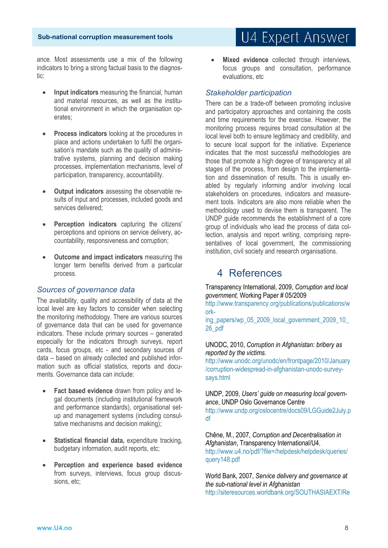#### **Sub-national corruption measurement tools**

# U4 Expert Answer

ance. Most assessments use a mix of the following indicators to bring a strong factual basis to the diagnostic:

- **Input indicators** measuring the financial, human and material resources, as well as the institutional environment in which the organisation operates;
- **Process indicators** looking at the procedures in place and actions undertaken to fulfil the organisation's mandate such as the quality of administrative systems, planning and decision making processes, implementation mechanisms, level of participation, transparency, accountability.
- **Output indicators** assessing the observable results of input and processes, included goods and services delivered;
- **Perception indicators** capturing the citizens' perceptions and opinions on service delivery, accountability, responsiveness and corruption;
- **Outcome and impact indicators** measuring the longer term benefits derived from a particular process.

### *Sources of governance data*

The availability, quality and accessibility of data at the local level are key factors to consider when selecting the monitoring methodology. There are various sources of governance data that can be used for governance indicators. These include primary sources – generated especially for the indicators through surveys, report cards, focus groups, etc - and secondary sources of data – based on already collected and published information such as official statistics, reports and documents. Governance data can include:

- **Fact based evidence** drawn from policy and legal documents (including institutional framework and performance standards), organisational setup and management systems (including consultative mechanisms and decision making);
- **Statistical financial data, expenditure tracking,** budgetary information, audit reports, etc;
- **Perception and experience based evidence**  from surveys, interviews, focus group discussions, etc;

**Mixed evidence** collected through interviews, focus groups and consultation, performance evaluations, etc

### *Stakeholder participation*

There can be a trade-off between promoting inclusive and participatory approaches and containing the costs and time requirements for the exercise. However, the monitoring process requires broad consultation at the local level both to ensure legitimacy and credibility, and to secure local support for the initiative. Experience indicates that the most successful methodologies are those that promote a high degree of transparency at all stages of the process, from design to the implementation and dissemination of results. This is usually enabled by regularly informing and/or involving local stakeholders on procedures, indicators and measurement tools. Indicators are also more reliable when the methodology used to devise them is transparent. The UNDP guide recommends the establishment of a core group of individuals who lead the process of data collection, analysis and report writing, comprising representatives of local government, the commissioning institution, civil society and research organisations.

### 4 References

Transparency International, 2009, *Corruption and local government,* Working Paper # 05/2009

[http://www.transparency.org/publications/publications/w](http://www.transparency.org/publications/publications/working_papers/wp_05_2009_local_government_2009_10_26_pdf) [ork-](http://www.transparency.org/publications/publications/working_papers/wp_05_2009_local_government_2009_10_26_pdf)

ing\_papers/wp\_05\_2009\_local\_government\_2009\_10 [26\\_pdf](http://www.transparency.org/publications/publications/working_papers/wp_05_2009_local_government_2009_10_26_pdf)

#### UNODC, 2010, *Corruption in Afghanistan: bribery as reported by the victims*.

[http://www.unodc.org/unodc/en/frontpage/2010/January](http://www.unodc.org/unodc/en/frontpage/2010/January/corruption-widespread-in-afghanistan-unodc-survey-says.html) [/corruption-widespread-in-afghanistan-unodc-survey](http://www.unodc.org/unodc/en/frontpage/2010/January/corruption-widespread-in-afghanistan-unodc-survey-says.html)[says.html](http://www.unodc.org/unodc/en/frontpage/2010/January/corruption-widespread-in-afghanistan-unodc-survey-says.html)

UNDP, 2009, *Users' guide on measuring local governance*, UNDP Oslo Governance Centre [http://www.undp.org/oslocentre/docs09/LGGuide2July.p](http://www.undp.org/oslocentre/docs09/LGGuide2July.pdf)

[df](http://www.undp.org/oslocentre/docs09/LGGuide2July.pdf)

Chêne, M., 2007, *Corruption and Decentralisation in Afghanistan*, Transparency International/U4, [http://www.u4.no/pdf/?file=/helpdesk/helpdesk/queries/](http://www.u4.no/pdf/?file=/helpdesk/helpdesk/queries/query148.pdf) [query148.pdf](http://www.u4.no/pdf/?file=/helpdesk/helpdesk/queries/query148.pdf)

World Bank, 2007, *Service delivery and governance at the sub-national level in Afghanistan* [http://siteresources.worldbank.org/SOUTHASIAEXT/Re](http://siteresources.worldbank.org/SOUTHASIAEXT/Resources/Publications/448813-1185293547967/4024814-1185293572457/report.pdf)